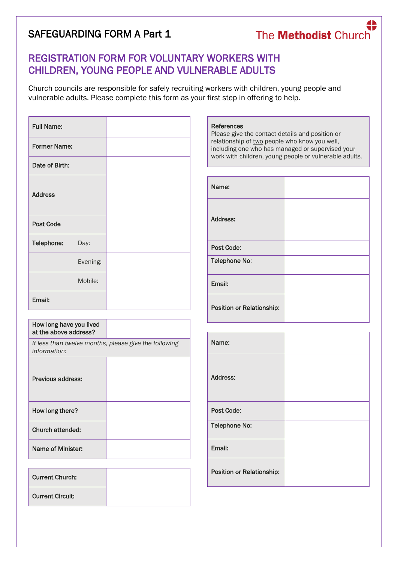# SAFEGUARDING FORM A Part 1

# The **Methodist** Church

# REGISTRATION FORM FOR VOLUNTARY WORKERS WITH CHILDREN, YOUNG PEOPLE AND VULNERABLE ADULTS

Church councils are responsible for safely recruiting workers with children, young people and vulnerable adults. Please complete this form as your first step in offering to help.

| <b>Full Name:</b>   |          |  |
|---------------------|----------|--|
| <b>Former Name:</b> |          |  |
| Date of Birth:      |          |  |
| <b>Address</b>      |          |  |
| <b>Post Code</b>    |          |  |
| Telephone:          | Day:     |  |
|                     | Evening: |  |
|                     | Mobile:  |  |
| Email:              |          |  |

| How long have you lived<br>at the above address?                      |  |  |
|-----------------------------------------------------------------------|--|--|
| If less than twelve months, please give the following<br>information: |  |  |
| Previous address:                                                     |  |  |
| How long there?                                                       |  |  |
| Church attended:                                                      |  |  |
| Name of Minister:                                                     |  |  |
|                                                                       |  |  |
| <b>Current Church:</b>                                                |  |  |

Current Circuit:

#### **References**

Please give the contact details and position or relationship of two people who know you well, including one who has managed or supervised your work with children, young people or vulnerable adults.

| Name:                     |  |
|---------------------------|--|
| Address:                  |  |
| <b>Post Code:</b>         |  |
| <b>Telephone No:</b>      |  |
| Email:                    |  |
| Position or Relationship: |  |

| Name:                            |  |
|----------------------------------|--|
| <b>Address:</b>                  |  |
| Post Code:                       |  |
| <b>Telephone No:</b>             |  |
| Email:                           |  |
| <b>Position or Relationship:</b> |  |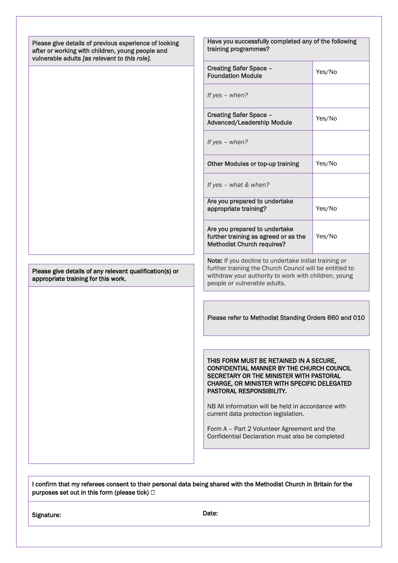| Please give details of previous experience of looking                                                                                                                                                                    |                                                                                                                                                                                                          | Have you successfully completed any of the following |  |
|--------------------------------------------------------------------------------------------------------------------------------------------------------------------------------------------------------------------------|----------------------------------------------------------------------------------------------------------------------------------------------------------------------------------------------------------|------------------------------------------------------|--|
| after or working with children, young people and<br>vulnerable adults [as relevant to this role].                                                                                                                        | training programmes?                                                                                                                                                                                     |                                                      |  |
|                                                                                                                                                                                                                          | <b>Creating Safer Space -</b><br><b>Foundation Module</b>                                                                                                                                                | Yes/No                                               |  |
|                                                                                                                                                                                                                          | If $yes - when?$                                                                                                                                                                                         |                                                      |  |
|                                                                                                                                                                                                                          | <b>Creating Safer Space -</b><br>Advanced/Leadership Module                                                                                                                                              | Yes/No                                               |  |
|                                                                                                                                                                                                                          | If yes - when?                                                                                                                                                                                           |                                                      |  |
|                                                                                                                                                                                                                          | Other Modules or top-up training                                                                                                                                                                         | Yes/No                                               |  |
|                                                                                                                                                                                                                          | If yes - what & when?                                                                                                                                                                                    |                                                      |  |
|                                                                                                                                                                                                                          | Are you prepared to undertake<br>appropriate training?                                                                                                                                                   | Yes/No                                               |  |
|                                                                                                                                                                                                                          | Are you prepared to undertake<br>further training as agreed or as the<br><b>Methodist Church requires?</b>                                                                                               | Yes/No                                               |  |
| Please give details of any relevant qualification(s) or<br>appropriate training for this work.                                                                                                                           | Note: If you decline to undertake initial training or<br>further training the Church Council will be entitled to<br>withdraw your authority to work with children, young<br>people or vulnerable adults. |                                                      |  |
|                                                                                                                                                                                                                          | Please refer to Methodist Standing Orders 660 and 010                                                                                                                                                    |                                                      |  |
|                                                                                                                                                                                                                          |                                                                                                                                                                                                          |                                                      |  |
| THIS FORM MUST BE RETAINED IN A SECURE,<br><b>CONFIDENTIAL MANNER BY THE CHURCH COUNCIL</b><br>SECRETARY OR THE MINISTER WITH PASTORAL<br><b>CHARGE, OR MINISTER WITH SPECIFIC DELEGATED</b><br>PASTORAL RESPONSIBILITY. |                                                                                                                                                                                                          |                                                      |  |
|                                                                                                                                                                                                                          | NB All information will be held in accordance with<br>current data protection legislation.                                                                                                               |                                                      |  |
|                                                                                                                                                                                                                          | Form A - Part 2 Volunteer Agreement and the<br>Confidential Declaration must also be completed                                                                                                           |                                                      |  |
|                                                                                                                                                                                                                          |                                                                                                                                                                                                          |                                                      |  |

I confirm that my referees consent to their personal data being shared with the Methodist Church in Britain for the purposes set out in this form (please tick)  $\square$ 

Signature: Date: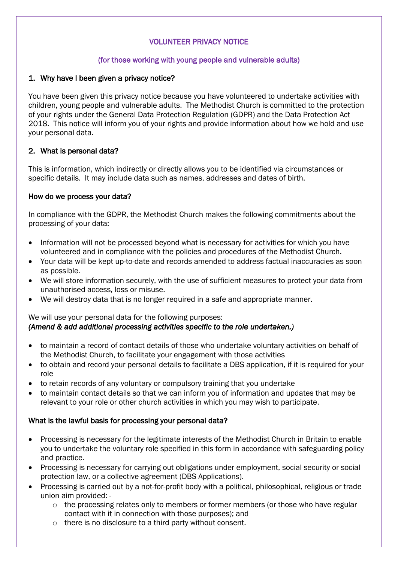# VOLUNTEER PRIVACY NOTICE

# (for those working with young people and vulnerable adults)

# 1. Why have I been given a privacy notice?

You have been given this privacy notice because you have volunteered to undertake activities with children, young people and vulnerable adults. The Methodist Church is committed to the protection of your rights under the General Data Protection Regulation (GDPR) and the Data Protection Act 2018. This notice will inform you of your rights and provide information about how we hold and use your personal data.

# 2. What is personal data?

This is information, which indirectly or directly allows you to be identified via circumstances or specific details. It may include data such as names, addresses and dates of birth.

#### How do we process your data?

In compliance with the GDPR, the Methodist Church makes the following commitments about the processing of your data:

- Information will not be processed beyond what is necessary for activities for which you have volunteered and in compliance with the policies and procedures of the Methodist Church.
- Your data will be kept up-to-date and records amended to address factual inaccuracies as soon as possible.
- We will store information securely, with the use of sufficient measures to protect your data from unauthorised access, loss or misuse.
- We will destroy data that is no longer required in a safe and appropriate manner.

# We will use your personal data for the following purposes:

#### *(Amend & add additional processing activities specific to the role undertaken.)*

- to maintain a record of contact details of those who undertake voluntary activities on behalf of the Methodist Church, to facilitate your engagement with those activities
- to obtain and record your personal details to facilitate a DBS application, if it is required for your role
- to retain records of any voluntary or compulsory training that you undertake
- to maintain contact details so that we can inform you of information and updates that may be relevant to your role or other church activities in which you may wish to participate.

#### What is the lawful basis for processing your personal data?

- Processing is necessary for the legitimate interests of the Methodist Church in Britain to enable you to undertake the voluntary role specified in this form in accordance with safeguarding policy and practice.
- Processing is necessary for carrying out obligations under employment, social security or social protection law, or a collective agreement (DBS Applications).
- Processing is carried out by a not-for-profit body with a political, philosophical, religious or trade union aim provided: -
	- $\circ$  the processing relates only to members or former members (or those who have regular contact with it in connection with those purposes); and
	- o there is no disclosure to a third party without consent.